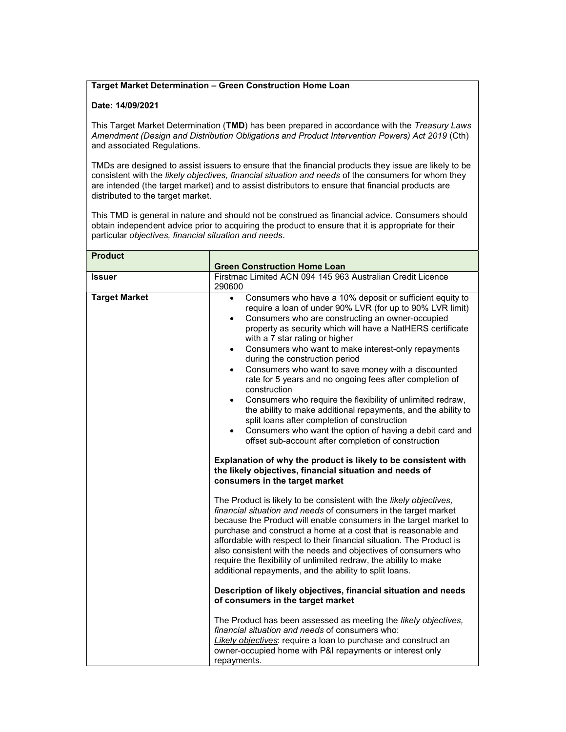## Target Market Determination – Green Construction Home Loan

## Date: 14/09/2021

This Target Market Determination (TMD) has been prepared in accordance with the Treasury Laws Amendment (Design and Distribution Obligations and Product Intervention Powers) Act 2019 (Cth) and associated Regulations.

TMDs are designed to assist issuers to ensure that the financial products they issue are likely to be consistent with the likely objectives, financial situation and needs of the consumers for whom they are intended (the target market) and to assist distributors to ensure that financial products are distributed to the target market.

This TMD is general in nature and should not be construed as financial advice. Consumers should obtain independent advice prior to acquiring the product to ensure that it is appropriate for their particular objectives, financial situation and needs.

| <b>Product</b>       |                                                                                                                                                                                                                                                                                                                                                                                                                                                                                                                                                                                                                                                                                                                                                                                                                                                                                                                                                                                                                                                     |
|----------------------|-----------------------------------------------------------------------------------------------------------------------------------------------------------------------------------------------------------------------------------------------------------------------------------------------------------------------------------------------------------------------------------------------------------------------------------------------------------------------------------------------------------------------------------------------------------------------------------------------------------------------------------------------------------------------------------------------------------------------------------------------------------------------------------------------------------------------------------------------------------------------------------------------------------------------------------------------------------------------------------------------------------------------------------------------------|
|                      | <b>Green Construction Home Loan</b>                                                                                                                                                                                                                                                                                                                                                                                                                                                                                                                                                                                                                                                                                                                                                                                                                                                                                                                                                                                                                 |
| Issuer               | Firstmac Limited ACN 094 145 963 Australian Credit Licence<br>290600                                                                                                                                                                                                                                                                                                                                                                                                                                                                                                                                                                                                                                                                                                                                                                                                                                                                                                                                                                                |
| <b>Target Market</b> | Consumers who have a 10% deposit or sufficient equity to<br>$\bullet$<br>require a loan of under 90% LVR (for up to 90% LVR limit)<br>Consumers who are constructing an owner-occupied<br>$\bullet$<br>property as security which will have a NatHERS certificate<br>with a 7 star rating or higher<br>Consumers who want to make interest-only repayments<br>$\bullet$<br>during the construction period<br>Consumers who want to save money with a discounted<br>$\bullet$<br>rate for 5 years and no ongoing fees after completion of<br>construction<br>Consumers who require the flexibility of unlimited redraw,<br>$\bullet$<br>the ability to make additional repayments, and the ability to<br>split loans after completion of construction<br>Consumers who want the option of having a debit card and<br>$\bullet$<br>offset sub-account after completion of construction<br>Explanation of why the product is likely to be consistent with<br>the likely objectives, financial situation and needs of<br>consumers in the target market |
|                      | The Product is likely to be consistent with the likely objectives,<br>financial situation and needs of consumers in the target market<br>because the Product will enable consumers in the target market to<br>purchase and construct a home at a cost that is reasonable and<br>affordable with respect to their financial situation. The Product is<br>also consistent with the needs and objectives of consumers who<br>require the flexibility of unlimited redraw, the ability to make<br>additional repayments, and the ability to split loans.                                                                                                                                                                                                                                                                                                                                                                                                                                                                                                |
|                      | Description of likely objectives, financial situation and needs<br>of consumers in the target market                                                                                                                                                                                                                                                                                                                                                                                                                                                                                                                                                                                                                                                                                                                                                                                                                                                                                                                                                |
|                      | The Product has been assessed as meeting the likely objectives,<br>financial situation and needs of consumers who:<br>Likely objectives: require a loan to purchase and construct an<br>owner-occupied home with P&I repayments or interest only<br>repayments.                                                                                                                                                                                                                                                                                                                                                                                                                                                                                                                                                                                                                                                                                                                                                                                     |